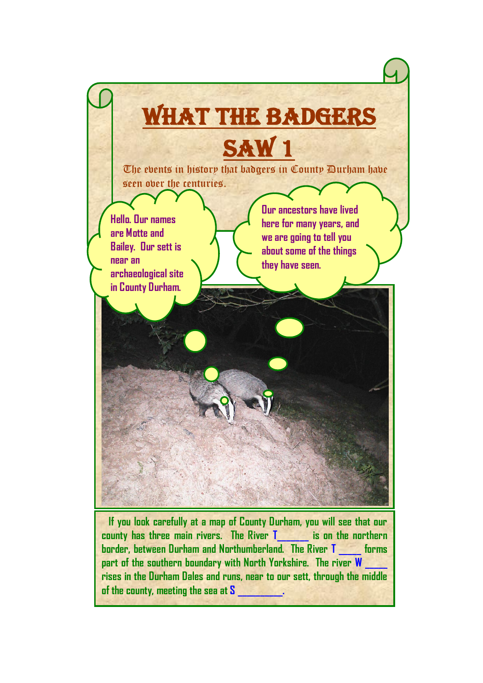

**county has three main rivers. The River T\_\_\_\_\_\_\_ is on the northern border, between Durham and Northumberland. The River T \_\_\_\_\_ forms**  part of the southern boundary with North Yorkshire. The river **W rises in the Durham Dales and runs, near to our sett, through the middle of the county, meeting the sea at S \_\_\_\_\_\_\_\_\_\_.**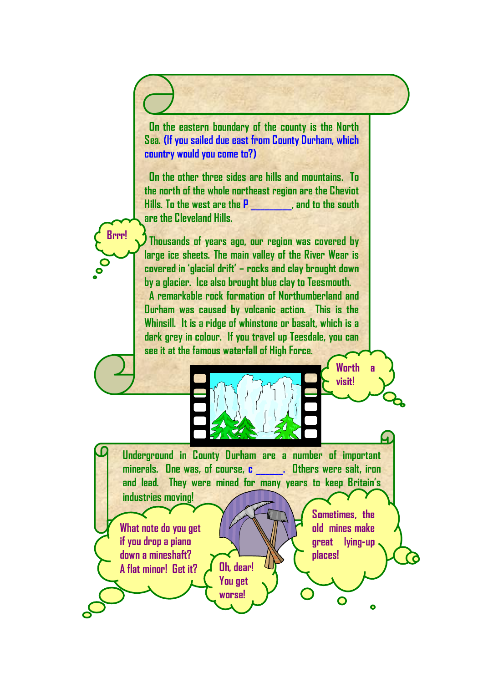**On the eastern boundary of the county is the North Sea. (If you sailed due east from County Durham, which country would you come to?)** 

 **On the other three sides are hills and mountains. To the north of the whole northeast region are the Cheviot Hills. To the west are the P \_\_\_\_\_\_\_\_\_, and to the south are the Cleveland Hills.**

 **Thousands of years ago, our region was covered by large ice sheets. The main valley of the River Wear is covered in 'glacial drift' – rocks and clay brought down by a glacier. Ice also brought blue clay to Teesmouth. A remarkable rock formation of Northumberland and Durham was caused by volcanic action. This is the Whinsill. It is a ridge of whinstone or basalt, which is a dark grey in colour. If you travel up Teesdale, you can see it at the famous waterfall of High Force.** 

**Underground in County Durham are a number of important minerals. One was, of course, c \_\_\_\_\_\_. Others were salt, iron and lead. They were mined for many years to keep Britain's industries moving!** 

> **You get worse!**

**What note do you get if you drop a piano down a mineshaft? A flat minor! Get it? Oh, dear!** 

**Brrr!**

**Sometimes, the old mines make great lying-up places!**

**Worth a** 

**visit!**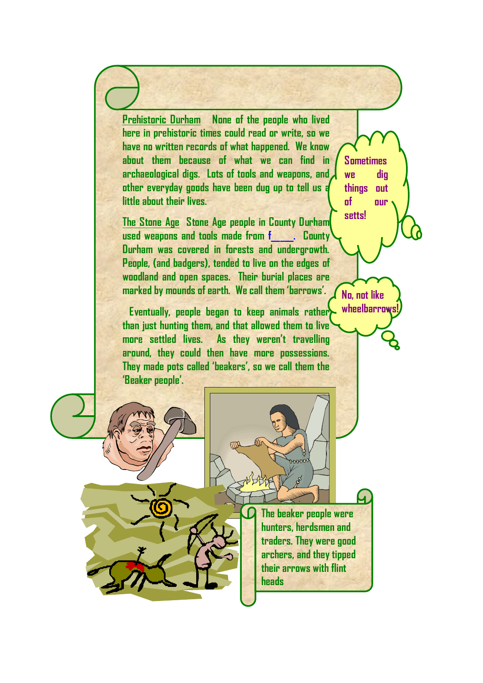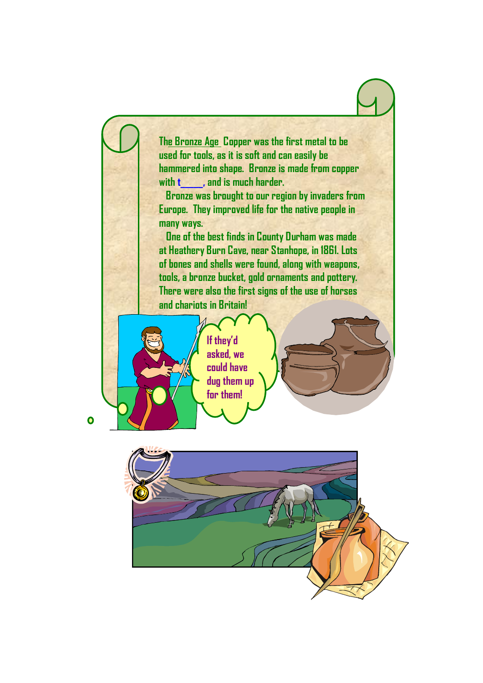